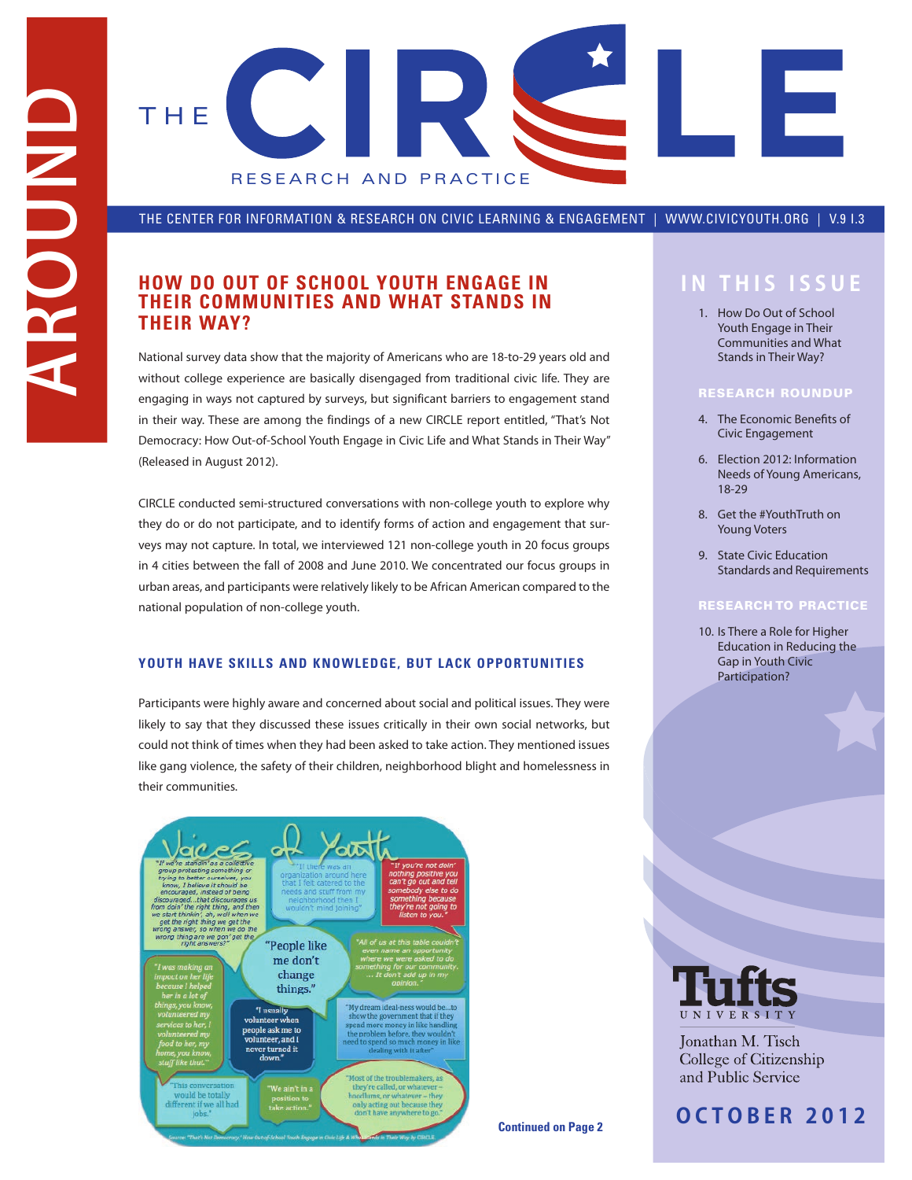

THE CENTER FOR INFORMATION & RESEARCH ON CIVIC LEARNING & ENGAGEMENT | WWW.CIVICYOUTH.ORG | V.9 I.3

# **HOW DO OUT OF SCHOOL YOUTH ENGAGE IN IN THIS ISSUE THEIR COMMUNITIES AND WHAT STANDS IN THEIR WAY?**

National survey data show that the majority of Americans who are 18-to-29 years old and without college experience are basically disengaged from traditional civic life. They are engaging in ways not captured by surveys, but significant barriers to engagement stand in their way. These are among the findings of a new CIRCLE report entitled, "That's Not Democracy: How Out-of-School Youth Engage in Civic Life and What Stands in Their Way" (Released in August 2012).

CIRCLE conducted semi-structured conversations with non-college youth to explore why they do or do not participate, and to identify forms of action and engagement that surveys may not capture. In total, we interviewed 121 non-college youth in 20 focus groups in 4 cities between the fall of 2008 and June 2010. We concentrated our focus groups in urban areas, and participants were relatively likely to be African American compared to the national population of non-college youth.

## **YOUTH HAVE SKILLS AND KNOWLEDGE, BUT LACK OPPORTUNITIES**

Participants were highly aware and concerned about social and political issues. They were likely to say that they discussed these issues critically in their own social networks, but could not think of times when they had been asked to take action. They mentioned issues like gang violence, the safety of their children, neighborhood blight and homelessness in their communities.



1. How Do Out of School Youth Engage in Their Communities and What Stands in Their Way?

- 4. The Economic Benefits of Civic Engagement
- 6. Election 2012: Information Needs of Young Americans, 18-29
- 8. Get the #YouthTruth on Young Voters
- 9. State Civic Education Standards and Requirements

10. Is There a Role for Higher Education in Reducing the Gap in Youth Civic Participation?



Jonathan M. Tisch College of Citizenship and Public Service

**OCT O BER 2012**

**Continued on Page 2**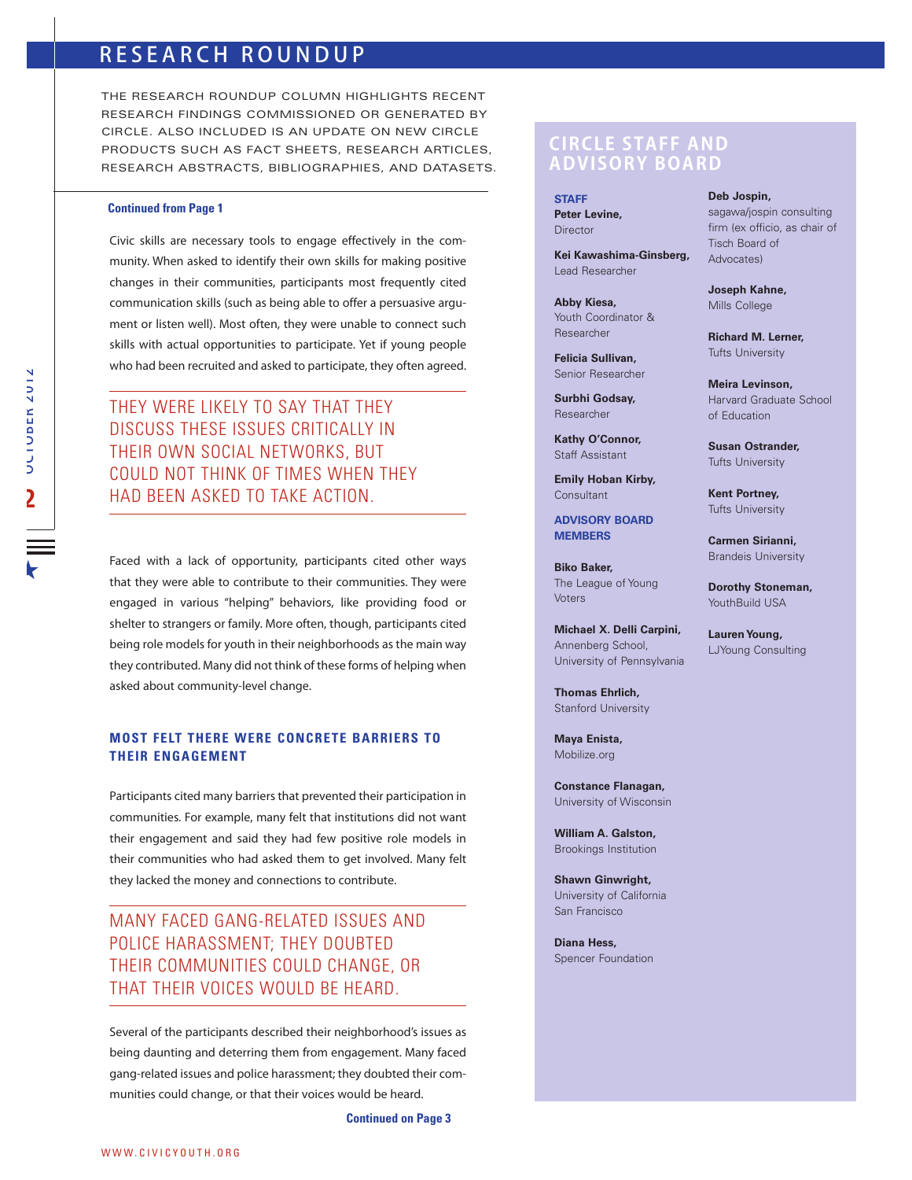# RESEARCH ROUNDUP

THE RESEARCH ROUNDUP COLUMN HIGHLIGHTS RECENT RESEARCH FINDINGS COMMISSIONED OR GENERATED BY CIRCLE. ALSO INCLUDED IS AN UPDATE ON NEW CIRCLE PRODUCTS SUCH AS FACT SHEETS, RESEARCH ARTICLES, RESEARCH ABSTRACTS, BIBLIOGRAPHIES, AND DATASETS.

### **Continued from Page 1**

Civic skills are necessary tools to engage effectively in the community. When asked to identify their own skills for making positive changes in their communities, participants most frequently cited communication skills (such as being able to offer a persuasive argument or listen well). Most often, they were unable to connect such skills with actual opportunities to participate. Yet if young people who had been recruited and asked to participate, they often agreed.

THEY WERE LIKELY TO SAY THAT THEY DISCUSS THESE ISSUES CRITICALLY IN THEIR OWN SOCIAL NETWORKS, BUT COULD NOT THINK OF TIMES WHEN THEY HAD BEEN ASKED TO TAKE ACTION.

Faced with a lack of opportunity, participants cited other ways that they were able to contribute to their communities. They were engaged in various "helping" behaviors, like providing food or shelter to strangers or family. More often, though, participants cited being role models for youth in their neighborhoods as the main way they contributed. Many did not think of these forms of helping when asked about community-level change.

# **MOST FELT THERE WERE CONCRETE BARRIERS TO THEIR ENGAGEMENT**

Participants cited many barriers that prevented their participation in communities. For example, many felt that institutions did not want their engagement and said they had few positive role models in their communities who had asked them to get involved. Many felt they lacked the money and connections to contribute.

MANY FACED GANG-RELATED ISSUES AND POLICE HARASSMENT; THEY DOUBTED THEIR COMMUNITIES COULD CHANGE, OR THAT THEIR VOICES WOULD BE HEARD.

Several of the participants described their neighborhood's issues as being daunting and deterring them from engagement. Many faced gang-related issues and police harassment; they doubted their communities could change, or that their voices would be heard.

**Continued on Page 3**

# **CIRCLE STAFF AND ADVISORY BOARD**

**STAFF Peter Levine, Director** 

**Kei Kawashima-Ginsberg,** Lead Researcher

**Abby Kiesa,** Youth Coordinator & Researcher

**Felicia Sullivan,** Senior Researcher

**Surbhi Godsay,** Researcher

**Kathy O'Connor,**  Staff Assistant

**Emily Hoban Kirby, Consultant** 

**ADVISORY BOARD MEMBERS**

**Biko Baker,** The League of Young Voters

**Michael X. Delli Carpini,** Annenberg School, University of Pennsylvania

**Thomas Ehrlich,** Stanford University

**Maya Enista,** Mobilize.org

**Constance Flanagan,** University of Wisconsin

**William A. Galston,** Brookings Institution

**Shawn Ginwright,** University of California San Francisco

**Diana Hess,** Spencer Foundation **Deb Jospin,** sagawa/jospin consulting firm (ex officio, as chair of Tisch Board of

Advocates) **Joseph Kahne,**

Mills College

**Richard M. Lerner,** Tufts University

**Meira Levinson,** Harvard Graduate School of Education

**Susan Ostrander,** Tufts University

**Kent Portney,** Tufts University

**Carmen Sirianni,** Brandeis University

**Dorothy Stoneman,** YouthBuild USA

**Lauren Young,** LJYoung Consulting

 $\overline{h}$  $\frac{1}{2}$